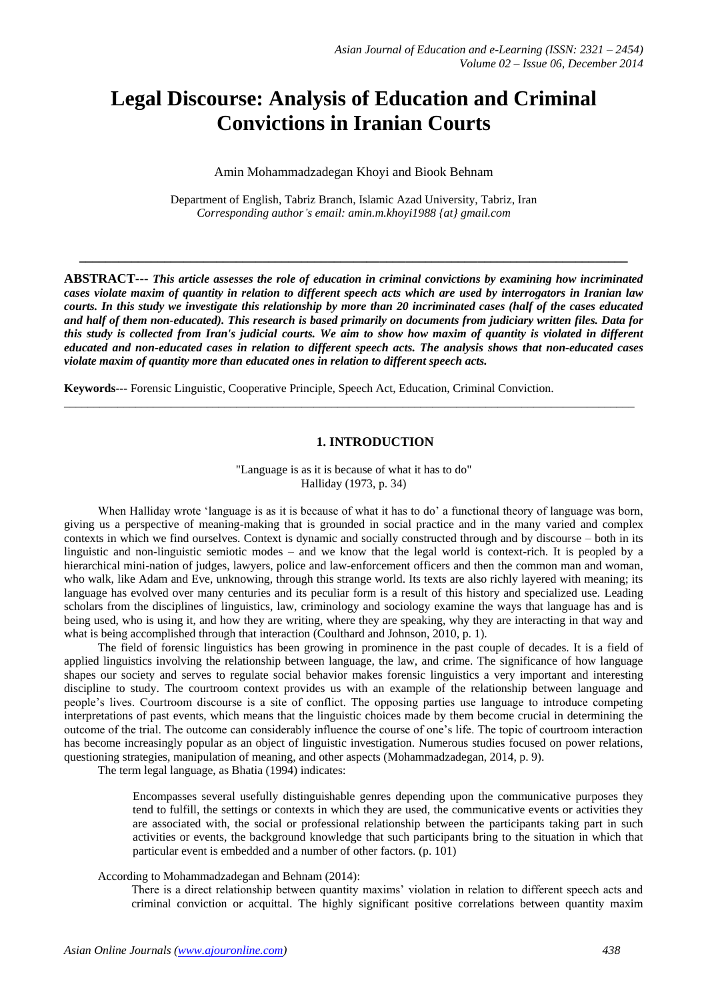# **Legal Discourse: Analysis of Education and Criminal Convictions in Iranian Courts**

## Amin Mohammadzadegan Khoyi and Biook Behnam

Department of English, Tabriz Branch, Islamic Azad University, Tabriz, Iran *Corresponding author's email: amin.m.khoyi1988 {at} gmail.com*

**\_\_\_\_\_\_\_\_\_\_\_\_\_\_\_\_\_\_\_\_\_\_\_\_\_\_\_\_\_\_\_\_\_\_\_\_\_\_\_\_\_\_\_\_\_\_\_\_\_\_\_\_\_\_\_\_\_\_\_\_\_\_\_\_\_\_\_\_\_\_\_\_\_\_\_\_\_\_\_\_\_\_\_\_**

**ABSTRACT---** *This article assesses the role of education in criminal convictions by examining how incriminated cases violate maxim of quantity in relation to different speech acts which are used by interrogators in Iranian law courts. In this study we investigate this relationship by more than 20 incriminated cases (half of the cases educated and half of them non-educated). This research is based primarily on documents from judiciary written files. Data for this study is collected from Iran's judicial courts. We aim to show how maxim of quantity is violated in different educated and non-educated cases in relation to different speech acts. The analysis shows that non-educated cases violate maxim of quantity more than educated ones in relation to different speech acts.*

**Keywords---** Forensic Linguistic, Cooperative Principle, Speech Act, Education, Criminal Conviction.

# **1. INTRODUCTION**

"Language is as it is because of what it has to do" Halliday (1973, p. 34)

\_\_\_\_\_\_\_\_\_\_\_\_\_\_\_\_\_\_\_\_\_\_\_\_\_\_\_\_\_\_\_\_\_\_\_\_\_\_\_\_\_\_\_\_\_\_\_\_\_\_\_\_\_\_\_\_\_\_\_\_\_\_\_\_\_\_\_\_\_\_\_\_\_\_\_\_\_\_\_\_\_\_\_\_\_\_\_\_\_\_\_\_\_\_\_\_

When Halliday wrote 'language is as it is because of what it has to do' a functional theory of language was born, giving us a perspective of meaning-making that is grounded in social practice and in the many varied and complex contexts in which we find ourselves. Context is dynamic and socially constructed through and by discourse – both in its linguistic and non-linguistic semiotic modes – and we know that the legal world is context-rich. It is peopled by a hierarchical mini-nation of judges, lawyers, police and law-enforcement officers and then the common man and woman, who walk, like Adam and Eve, unknowing, through this strange world. Its texts are also richly layered with meaning; its language has evolved over many centuries and its peculiar form is a result of this history and specialized use. Leading scholars from the disciplines of linguistics, law, criminology and sociology examine the ways that language has and is being used, who is using it, and how they are writing, where they are speaking, why they are interacting in that way and what is being accomplished through that interaction (Coulthard and Johnson, 2010, p. 1).

The field of forensic linguistics has been growing in prominence in the past couple of decades. It is a field of applied linguistics involving the relationship between language, the law, and crime. The significance of how language shapes our society and serves to regulate social behavior makes forensic linguistics a very important and interesting discipline to study. The courtroom context provides us with an example of the relationship between language and people's lives. Courtroom discourse is a site of conflict. The opposing parties use language to introduce competing interpretations of past events, which means that the linguistic choices made by them become crucial in determining the outcome of the trial. The outcome can considerably influence the course of one's life. The topic of courtroom interaction has become increasingly popular as an object of linguistic investigation. Numerous studies focused on power relations, questioning strategies, manipulation of meaning, and other aspects (Mohammadzadegan, 2014, p. 9).

The term legal language, as Bhatia (1994) indicates:

Encompasses several usefully distinguishable genres depending upon the communicative purposes they tend to fulfill, the settings or contexts in which they are used, the communicative events or activities they are associated with, the social or professional relationship between the participants taking part in such activities or events, the background knowledge that such participants bring to the situation in which that particular event is embedded and a number of other factors. (p. 101)

According to Mohammadzadegan and Behnam (2014):

There is a direct relationship between quantity maxims' violation in relation to different speech acts and criminal conviction or acquittal. The highly significant positive correlations between quantity maxim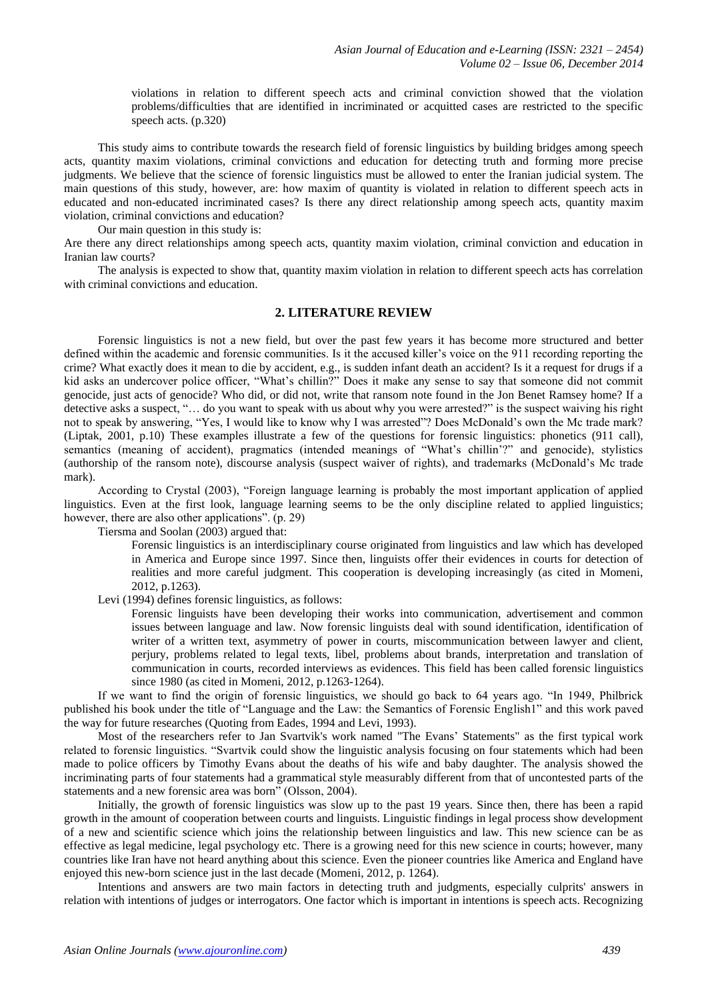violations in relation to different speech acts and criminal conviction showed that the violation problems/difficulties that are identified in incriminated or acquitted cases are restricted to the specific speech acts. (p.320)

This study aims to contribute towards the research field of forensic linguistics by building bridges among speech acts, quantity maxim violations, criminal convictions and education for detecting truth and forming more precise judgments. We believe that the science of forensic linguistics must be allowed to enter the Iranian judicial system. The main questions of this study, however, are: how maxim of quantity is violated in relation to different speech acts in educated and non-educated incriminated cases? Is there any direct relationship among speech acts, quantity maxim violation, criminal convictions and education?

Our main question in this study is:

Are there any direct relationships among speech acts, quantity maxim violation, criminal conviction and education in Iranian law courts?

The analysis is expected to show that, quantity maxim violation in relation to different speech acts has correlation with criminal convictions and education.

## **2. LITERATURE REVIEW**

Forensic linguistics is not a new field, but over the past few years it has become more structured and better defined within the academic and forensic communities. Is it the accused killer's voice on the 911 recording reporting the crime? What exactly does it mean to die by accident, e.g., is sudden infant death an accident? Is it a request for drugs if a kid asks an undercover police officer, "What's chillin?" Does it make any sense to say that someone did not commit genocide, just acts of genocide? Who did, or did not, write that ransom note found in the Jon Benet Ramsey home? If a detective asks a suspect, "… do you want to speak with us about why you were arrested?" is the suspect waiving his right not to speak by answering, "Yes, I would like to know why I was arrested"? Does McDonald's own the Mc trade mark? (Liptak, 2001, p.10) These examples illustrate a few of the questions for forensic linguistics: phonetics (911 call), semantics (meaning of accident), pragmatics (intended meanings of "What's chillin'?" and genocide), stylistics (authorship of the ransom note), discourse analysis (suspect waiver of rights), and trademarks (McDonald's Mc trade mark).

According to Crystal (2003), "Foreign language learning is probably the most important application of applied linguistics. Even at the first look, language learning seems to be the only discipline related to applied linguistics; however, there are also other applications". (p. 29)

Tiersma and Soolan (2003) argued that:

Forensic linguistics is an interdisciplinary course originated from linguistics and law which has developed in America and Europe since 1997. Since then, linguists offer their evidences in courts for detection of realities and more careful judgment. This cooperation is developing increasingly (as cited in Momeni, 2012, p.1263).

Levi (1994) defines forensic linguistics, as follows:

Forensic linguists have been developing their works into communication, advertisement and common issues between language and law. Now forensic linguists deal with sound identification, identification of writer of a written text, asymmetry of power in courts, miscommunication between lawyer and client, perjury, problems related to legal texts, libel, problems about brands, interpretation and translation of communication in courts, recorded interviews as evidences. This field has been called forensic linguistics since 1980 (as cited in Momeni, 2012, p.1263-1264).

If we want to find the origin of forensic linguistics, we should go back to 64 years ago. "In 1949, Philbrick published his book under the title of "Language and the Law: the Semantics of Forensic English1" and this work paved the way for future researches (Quoting from Eades, 1994 and Levi, 1993).

Most of the researchers refer to Jan Svartvik's work named "The Evans' Statements" as the first typical work related to forensic linguistics. "Svartvik could show the linguistic analysis focusing on four statements which had been made to police officers by Timothy Evans about the deaths of his wife and baby daughter. The analysis showed the incriminating parts of four statements had a grammatical style measurably different from that of uncontested parts of the statements and a new forensic area was born" (Olsson, 2004).

Initially, the growth of forensic linguistics was slow up to the past 19 years. Since then, there has been a rapid growth in the amount of cooperation between courts and linguists. Linguistic findings in legal process show development of a new and scientific science which joins the relationship between linguistics and law. This new science can be as effective as legal medicine, legal psychology etc. There is a growing need for this new science in courts; however, many countries like Iran have not heard anything about this science. Even the pioneer countries like America and England have enjoyed this new-born science just in the last decade (Momeni, 2012, p. 1264).

Intentions and answers are two main factors in detecting truth and judgments, especially culprits' answers in relation with intentions of judges or interrogators. One factor which is important in intentions is speech acts. Recognizing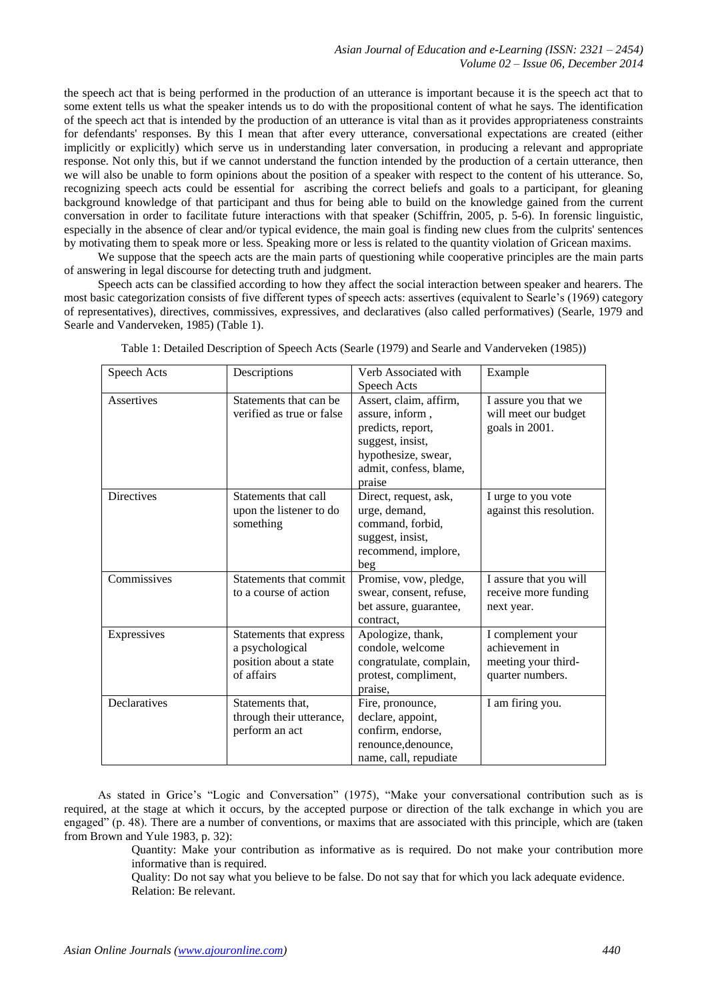the speech act that is being performed in the production of an utterance is important because it is the speech act that to some extent tells us what the speaker intends us to do with the propositional content of what he says. The identification of the speech act that is intended by the production of an utterance is vital than as it provides appropriateness constraints for defendants' responses. By this I mean that after every utterance, conversational expectations are created (either implicitly or explicitly) which serve us in understanding later conversation, in producing a relevant and appropriate response. Not only this, but if we cannot understand the function intended by the production of a certain utterance, then we will also be unable to form opinions about the position of a speaker with respect to the content of his utterance. So, recognizing speech acts could be essential for ascribing the correct beliefs and goals to a participant, for gleaning background knowledge of that participant and thus for being able to build on the knowledge gained from the current conversation in order to facilitate future interactions with that speaker (Schiffrin, 2005, p. 5-6). In forensic linguistic, especially in the absence of clear and/or typical evidence, the main goal is finding new clues from the culprits' sentences by motivating them to speak more or less. Speaking more or less is related to the quantity violation of Gricean maxims.

We suppose that the speech acts are the main parts of questioning while cooperative principles are the main parts of answering in legal discourse for detecting truth and judgment.

Speech acts can be classified according to how they affect the social interaction between speaker and hearers. The most basic categorization consists of five different types of speech acts: assertives (equivalent to Searle's (1969) category of representatives), directives, commissives, expressives, and declaratives (also called performatives) (Searle, 1979 and Searle and Vanderveken, 1985) (Table 1).

| Speech Acts  | Descriptions                                                                       | Verb Associated with<br>Speech Acts                                                                                                           | Example                                                                        |
|--------------|------------------------------------------------------------------------------------|-----------------------------------------------------------------------------------------------------------------------------------------------|--------------------------------------------------------------------------------|
| Assertives   | Statements that can be<br>verified as true or false                                | Assert, claim, affirm,<br>assure, inform,<br>predicts, report,<br>suggest, insist,<br>hypothesize, swear,<br>admit, confess, blame,<br>praise | I assure you that we<br>will meet our budget<br>goals in 2001.                 |
| Directives   | Statements that call<br>upon the listener to do<br>something                       | Direct, request, ask,<br>urge, demand,<br>command, forbid,<br>suggest, insist,<br>recommend, implore,<br>beg                                  | I urge to you vote<br>against this resolution.                                 |
| Commissives  | Statements that commit<br>to a course of action                                    | Promise, vow, pledge,<br>swear, consent, refuse,<br>bet assure, guarantee,<br>contract,                                                       | I assure that you will<br>receive more funding<br>next year.                   |
| Expressives  | Statements that express<br>a psychological<br>position about a state<br>of affairs | Apologize, thank,<br>condole, welcome<br>congratulate, complain,<br>protest, compliment,<br>praise,                                           | I complement your<br>achievement in<br>meeting your third-<br>quarter numbers. |
| Declaratives | Statements that,<br>through their utterance,<br>perform an act                     | Fire, pronounce,<br>declare, appoint,<br>confirm, endorse,<br>renounce, denounce,<br>name, call, repudiate                                    | I am firing you.                                                               |

Table 1: Detailed Description of Speech Acts (Searle (1979) and Searle and Vanderveken (1985))

As stated in Grice's "Logic and Conversation" (1975), "Make your conversational contribution such as is required, at the stage at which it occurs, by the accepted purpose or direction of the talk exchange in which you are engaged" (p. 48). There are a number of conventions, or maxims that are associated with this principle, which are (taken from Brown and Yule 1983, p. 32):

> Quantity: Make your contribution as informative as is required. Do not make your contribution more informative than is required.

Quality: Do not say what you believe to be false. Do not say that for which you lack adequate evidence. Relation: Be relevant.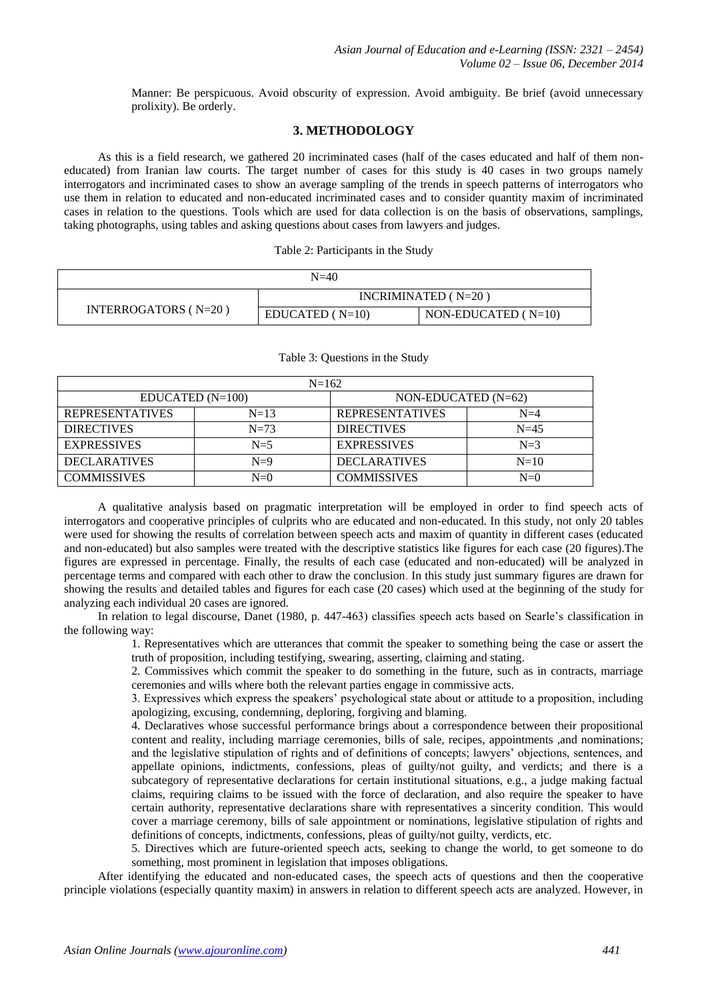Manner: Be perspicuous. Avoid obscurity of expression. Avoid ambiguity. Be brief (avoid unnecessary prolixity). Be orderly.

## **3. METHODOLOGY**

As this is a field research, we gathered 20 incriminated cases (half of the cases educated and half of them noneducated) from Iranian law courts. The target number of cases for this study is 40 cases in two groups namely interrogators and incriminated cases to show an average sampling of the trends in speech patterns of interrogators who use them in relation to educated and non-educated incriminated cases and to consider quantity maxim of incriminated cases in relation to the questions. Tools which are used for data collection is on the basis of observations, samplings, taking photographs, using tables and asking questions about cases from lawyers and judges.

| $N=40$                   |                       |                       |  |  |  |
|--------------------------|-----------------------|-----------------------|--|--|--|
|                          | INCRIMINATED $(N=20)$ |                       |  |  |  |
| INTERROGATORS ( $N=20$ ) | $EDUCATED (N=10)$     | NON-EDUCATED $(N=10)$ |  |  |  |

#### Table 3: Questions in the Study

| $N=162$                |            |                        |         |  |  |
|------------------------|------------|------------------------|---------|--|--|
| $EDUCATED (N=100)$     |            | NON-EDUCATED (N=62)    |         |  |  |
| <b>REPRESENTATIVES</b> | $N=13$     | <b>REPRESENTATIVES</b> | $N = 4$ |  |  |
| <b>DIRECTIVES</b>      | $N=73$     | <b>DIRECTIVES</b>      | $N=45$  |  |  |
| <b>EXPRESSIVES</b>     | $N=5$      | <b>EXPRESSIVES</b>     | $N=3$   |  |  |
| <b>DECLARATIVES</b>    | $N=9$      | <b>DECLARATIVES</b>    | $N=10$  |  |  |
| <b>COMMISSIVES</b>     | $N=\Omega$ | <b>COMMISSIVES</b>     | $N=0$   |  |  |

A qualitative analysis based on pragmatic interpretation will be employed in order to find speech acts of interrogators and cooperative principles of culprits who are educated and non-educated. In this study, not only 20 tables were used for showing the results of correlation between speech acts and maxim of quantity in different cases (educated and non-educated) but also samples were treated with the descriptive statistics like figures for each case (20 figures).The figures are expressed in percentage. Finally, the results of each case (educated and non-educated) will be analyzed in percentage terms and compared with each other to draw the conclusion. In this study just summary figures are drawn for showing the results and detailed tables and figures for each case (20 cases) which used at the beginning of the study for analyzing each individual 20 cases are ignored.

In relation to legal discourse, Danet (1980, p. 447-463) classifies speech acts based on Searle's classification in the following way:

1. Representatives which are utterances that commit the speaker to something being the case or assert the truth of proposition, including testifying, swearing, asserting, claiming and stating.

2. Commissives which commit the speaker to do something in the future, such as in contracts, marriage ceremonies and wills where both the relevant parties engage in commissive acts.

3. Expressives which express the speakers' psychological state about or attitude to a proposition, including apologizing, excusing, condemning, deploring, forgiving and blaming.

4. Declaratives whose successful performance brings about a correspondence between their propositional content and reality, including marriage ceremonies, bills of sale, recipes, appointments ,and nominations; and the legislative stipulation of rights and of definitions of concepts; lawyers' objections, sentences, and appellate opinions, indictments, confessions, pleas of guilty/not guilty, and verdicts; and there is a subcategory of representative declarations for certain institutional situations, e.g., a judge making factual claims, requiring claims to be issued with the force of declaration, and also require the speaker to have certain authority, representative declarations share with representatives a sincerity condition. This would cover a marriage ceremony, bills of sale appointment or nominations, legislative stipulation of rights and definitions of concepts, indictments, confessions, pleas of guilty/not guilty, verdicts, etc.

5. Directives which are future-oriented speech acts, seeking to change the world, to get someone to do something, most prominent in legislation that imposes obligations.

After identifying the educated and non-educated cases, the speech acts of questions and then the cooperative principle violations (especially quantity maxim) in answers in relation to different speech acts are analyzed. However, in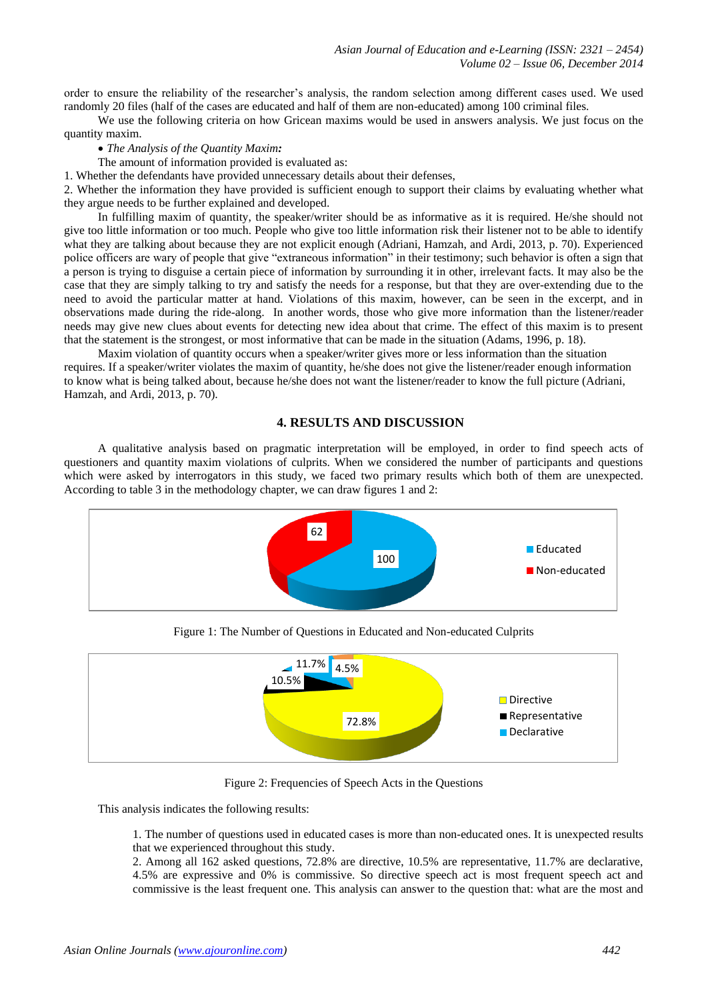order to ensure the reliability of the researcher's analysis, the random selection among different cases used. We used randomly 20 files (half of the cases are educated and half of them are non-educated) among 100 criminal files.

We use the following criteria on how Gricean maxims would be used in answers analysis. We just focus on the quantity maxim.

*The Analysis of the Quantity Maxim:*

The amount of information provided is evaluated as:

1. Whether the defendants have provided unnecessary details about their defenses,

2. Whether the information they have provided is sufficient enough to support their claims by evaluating whether what they argue needs to be further explained and developed.

In fulfilling maxim of quantity, the speaker/writer should be as informative as it is required. He/she should not give too little information or too much. People who give too little information risk their listener not to be able to identify what they are talking about because they are not explicit enough (Adriani, Hamzah, and Ardi, 2013, p. 70). Experienced police officers are wary of people that give "extraneous information" in their testimony; such behavior is often a sign that a person is trying to disguise a certain piece of information by surrounding it in other, irrelevant facts. It may also be the case that they are simply talking to try and satisfy the needs for a response, but that they are over-extending due to the need to avoid the particular matter at hand. Violations of this maxim, however, can be seen in the excerpt, and in observations made during the ride-along. In another words, those who give more information than the listener/reader needs may give new clues about events for detecting new idea about that crime. The effect of this maxim is to present that the statement is the strongest, or most informative that can be made in the situation (Adams, 1996, p. 18).

Maxim violation of quantity occurs when a speaker/writer gives more or less information than the situation requires. If a speaker/writer violates the maxim of quantity, he/she does not give the listener/reader enough information to know what is being talked about, because he/she does not want the listener/reader to know the full picture (Adriani, Hamzah, and Ardi, 2013, p. 70).

## **4. RESULTS AND DISCUSSION**

A qualitative analysis based on pragmatic interpretation will be employed, in order to find speech acts of questioners and quantity maxim violations of culprits. When we considered the number of participants and questions which were asked by interrogators in this study, we faced two primary results which both of them are unexpected. According to table 3 in the methodology chapter, we can draw figures 1 and 2:



Figure 1: The Number of Questions in Educated and Non-educated Culprits



Figure 2: Frequencies of Speech Acts in the Questions

This analysis indicates the following results:

1. The number of questions used in educated cases is more than non-educated ones. It is unexpected results that we experienced throughout this study.

2. Among all 162 asked questions, 72.8% are directive, 10.5% are representative, 11.7% are declarative, 4.5% are expressive and 0% is commissive. So directive speech act is most frequent speech act and commissive is the least frequent one. This analysis can answer to the question that: what are the most and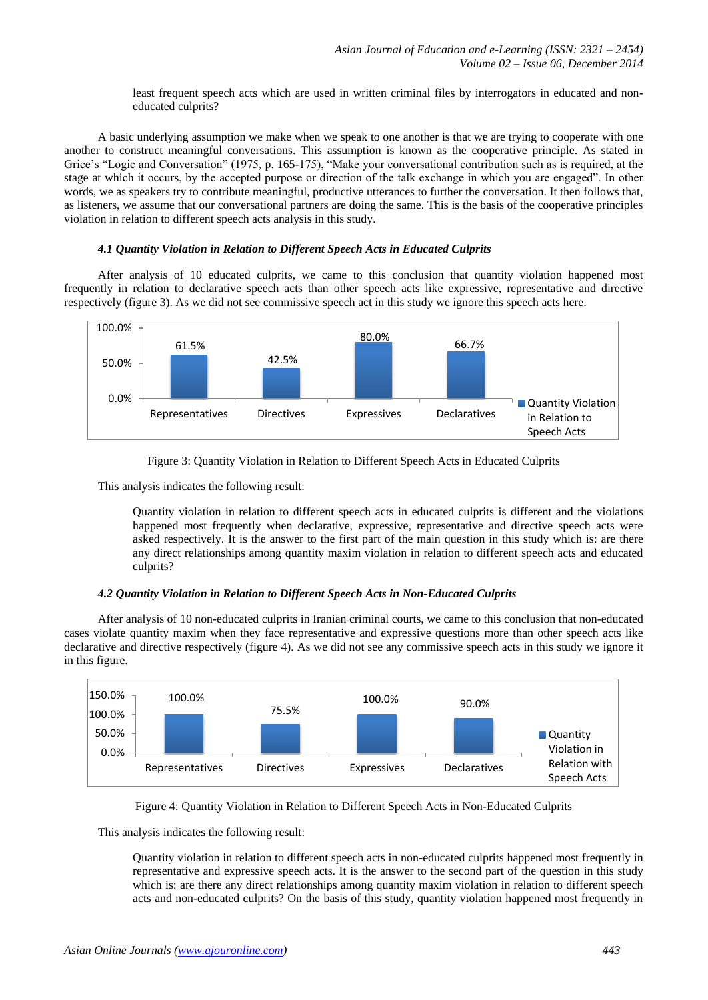least frequent speech acts which are used in written criminal files by interrogators in educated and noneducated culprits?

A basic underlying assumption we make when we speak to one another is that we are trying to cooperate with one another to construct meaningful conversations. This assumption is known as the cooperative principle. As stated in Grice's "Logic and Conversation" (1975, p. 165-175), "Make your conversational contribution such as is required, at the stage at which it occurs, by the accepted purpose or direction of the talk exchange in which you are engaged". In other words, we as speakers try to contribute meaningful, productive utterances to further the conversation. It then follows that, as listeners, we assume that our conversational partners are doing the same. This is the basis of the cooperative principles violation in relation to different speech acts analysis in this study.

#### *4.1 Quantity Violation in Relation to Different Speech Acts in Educated Culprits*

After analysis of 10 educated culprits, we came to this conclusion that quantity violation happened most frequently in relation to declarative speech acts than other speech acts like expressive, representative and directive respectively (figure 3). As we did not see commissive speech act in this study we ignore this speech acts here.





This analysis indicates the following result:

Quantity violation in relation to different speech acts in educated culprits is different and the violations happened most frequently when declarative, expressive, representative and directive speech acts were asked respectively. It is the answer to the first part of the main question in this study which is: are there any direct relationships among quantity maxim violation in relation to different speech acts and educated culprits?

## *4.2 Quantity Violation in Relation to Different Speech Acts in Non-Educated Culprits*

After analysis of 10 non-educated culprits in Iranian criminal courts, we came to this conclusion that non-educated cases violate quantity maxim when they face representative and expressive questions more than other speech acts like declarative and directive respectively (figure 4). As we did not see any commissive speech acts in this study we ignore it in this figure.



Figure 4: Quantity Violation in Relation to Different Speech Acts in Non-Educated Culprits

This analysis indicates the following result:

Quantity violation in relation to different speech acts in non-educated culprits happened most frequently in representative and expressive speech acts. It is the answer to the second part of the question in this study which is: are there any direct relationships among quantity maxim violation in relation to different speech acts and non-educated culprits? On the basis of this study, quantity violation happened most frequently in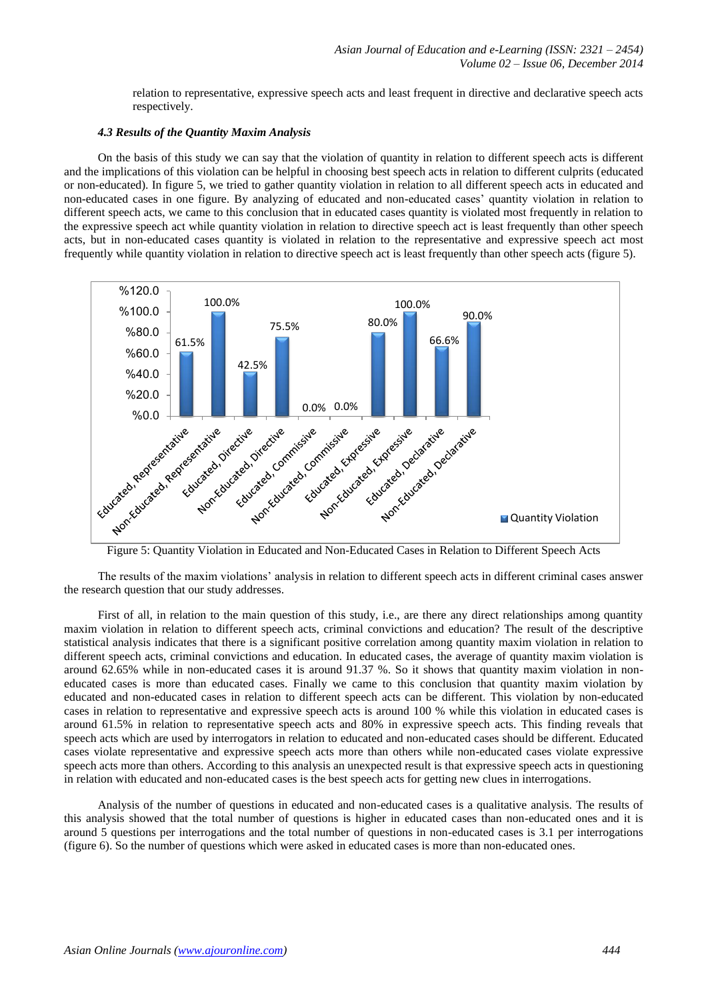relation to representative, expressive speech acts and least frequent in directive and declarative speech acts respectively.

## *4.3 Results of the Quantity Maxim Analysis*

On the basis of this study we can say that the violation of quantity in relation to different speech acts is different and the implications of this violation can be helpful in choosing best speech acts in relation to different culprits (educated or non-educated). In figure 5, we tried to gather quantity violation in relation to all different speech acts in educated and non-educated cases in one figure. By analyzing of educated and non-educated cases' quantity violation in relation to different speech acts, we came to this conclusion that in educated cases quantity is violated most frequently in relation to the expressive speech act while quantity violation in relation to directive speech act is least frequently than other speech acts, but in non-educated cases quantity is violated in relation to the representative and expressive speech act most frequently while quantity violation in relation to directive speech act is least frequently than other speech acts (figure 5).



Figure 5: Quantity Violation in Educated and Non-Educated Cases in Relation to Different Speech Acts

The results of the maxim violations' analysis in relation to different speech acts in different criminal cases answer the research question that our study addresses.

First of all, in relation to the main question of this study, i.e., are there any direct relationships among quantity maxim violation in relation to different speech acts, criminal convictions and education? The result of the descriptive statistical analysis indicates that there is a significant positive correlation among quantity maxim violation in relation to different speech acts, criminal convictions and education. In educated cases, the average of quantity maxim violation is around 62.65% while in non-educated cases it is around 91.37 %. So it shows that quantity maxim violation in noneducated cases is more than educated cases. Finally we came to this conclusion that quantity maxim violation by educated and non-educated cases in relation to different speech acts can be different. This violation by non-educated cases in relation to representative and expressive speech acts is around 100 % while this violation in educated cases is around 61.5% in relation to representative speech acts and 80% in expressive speech acts. This finding reveals that speech acts which are used by interrogators in relation to educated and non-educated cases should be different. Educated cases violate representative and expressive speech acts more than others while non-educated cases violate expressive speech acts more than others. According to this analysis an unexpected result is that expressive speech acts in questioning in relation with educated and non-educated cases is the best speech acts for getting new clues in interrogations.

Analysis of the number of questions in educated and non-educated cases is a qualitative analysis. The results of this analysis showed that the total number of questions is higher in educated cases than non-educated ones and it is around 5 questions per interrogations and the total number of questions in non-educated cases is 3.1 per interrogations (figure 6). So the number of questions which were asked in educated cases is more than non-educated ones.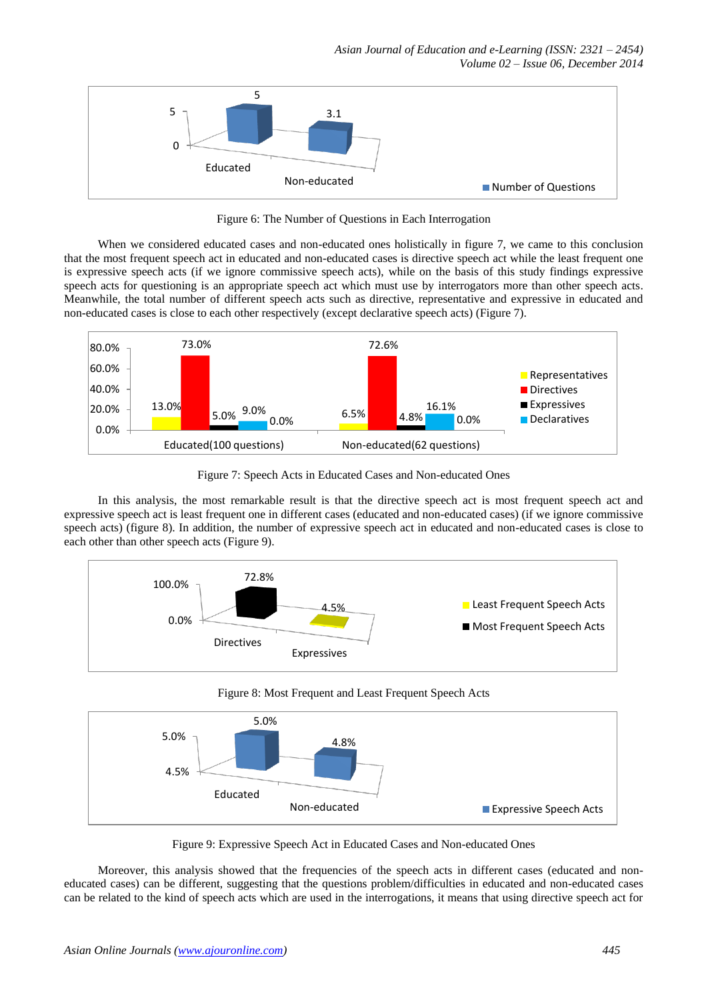

Figure 6: The Number of Questions in Each Interrogation

When we considered educated cases and non-educated ones holistically in figure 7, we came to this conclusion that the most frequent speech act in educated and non-educated cases is directive speech act while the least frequent one is expressive speech acts (if we ignore commissive speech acts), while on the basis of this study findings expressive speech acts for questioning is an appropriate speech act which must use by interrogators more than other speech acts. Meanwhile, the total number of different speech acts such as directive, representative and expressive in educated and non-educated cases is close to each other respectively (except declarative speech acts) (Figure 7).



Figure 7: Speech Acts in Educated Cases and Non-educated Ones

In this analysis, the most remarkable result is that the directive speech act is most frequent speech act and expressive speech act is least frequent one in different cases (educated and non-educated cases) (if we ignore commissive speech acts) (figure 8). In addition, the number of expressive speech act in educated and non-educated cases is close to each other than other speech acts (Figure 9).



Figure 8: Most Frequent and Least Frequent Speech Acts



Figure 9: Expressive Speech Act in Educated Cases and Non-educated Ones

Moreover, this analysis showed that the frequencies of the speech acts in different cases (educated and noneducated cases) can be different, suggesting that the questions problem/difficulties in educated and non-educated cases can be related to the kind of speech acts which are used in the interrogations, it means that using directive speech act for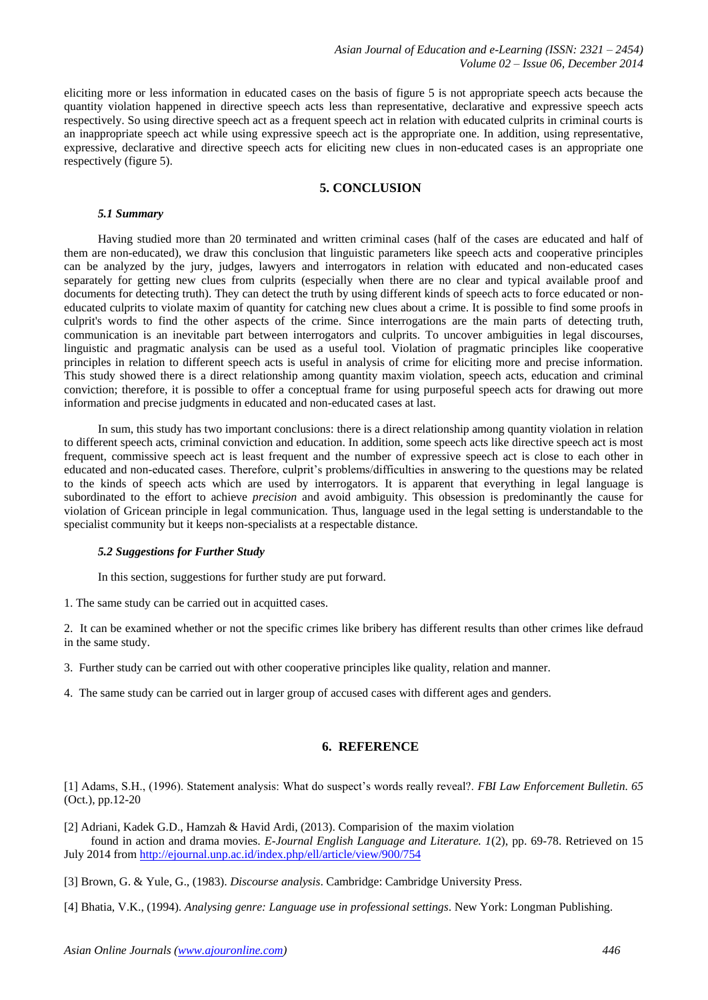eliciting more or less information in educated cases on the basis of figure 5 is not appropriate speech acts because the quantity violation happened in directive speech acts less than representative, declarative and expressive speech acts respectively. So using directive speech act as a frequent speech act in relation with educated culprits in criminal courts is an inappropriate speech act while using expressive speech act is the appropriate one. In addition, using representative, expressive, declarative and directive speech acts for eliciting new clues in non-educated cases is an appropriate one respectively (figure 5).

# **5. CONCLUSION**

#### *5.1 Summary*

Having studied more than 20 terminated and written criminal cases (half of the cases are educated and half of them are non-educated), we draw this conclusion that linguistic parameters like speech acts and cooperative principles can be analyzed by the jury, judges, lawyers and interrogators in relation with educated and non-educated cases separately for getting new clues from culprits (especially when there are no clear and typical available proof and documents for detecting truth). They can detect the truth by using different kinds of speech acts to force educated or noneducated culprits to violate maxim of quantity for catching new clues about a crime. It is possible to find some proofs in culprit's words to find the other aspects of the crime. Since interrogations are the main parts of detecting truth, communication is an inevitable part between interrogators and culprits. To uncover ambiguities in legal discourses, linguistic and pragmatic analysis can be used as a useful tool. Violation of pragmatic principles like cooperative principles in relation to different speech acts is useful in analysis of crime for eliciting more and precise information. This study showed there is a direct relationship among quantity maxim violation, speech acts, education and criminal conviction; therefore, it is possible to offer a conceptual frame for using purposeful speech acts for drawing out more information and precise judgments in educated and non-educated cases at last.

In sum, this study has two important conclusions: there is a direct relationship among quantity violation in relation to different speech acts, criminal conviction and education. In addition, some speech acts like directive speech act is most frequent, commissive speech act is least frequent and the number of expressive speech act is close to each other in educated and non-educated cases. Therefore, culprit's problems/difficulties in answering to the questions may be related to the kinds of speech acts which are used by interrogators. It is apparent that everything in legal language is subordinated to the effort to achieve *precision* and avoid ambiguity. This obsession is predominantly the cause for violation of Gricean principle in legal communication. Thus, language used in the legal setting is understandable to the specialist community but it keeps non-specialists at a respectable distance.

## *5.2 Suggestions for Further Study*

In this section, suggestions for further study are put forward.

1. The same study can be carried out in acquitted cases.

2. It can be examined whether or not the specific crimes like bribery has different results than other crimes like defraud in the same study.

3. Further study can be carried out with other cooperative principles like quality, relation and manner.

4. The same study can be carried out in larger group of accused cases with different ages and genders.

## **6. REFERENCE**

[1] Adams, S.H., (1996). Statement analysis: What do suspect's words really reveal?. *FBI Law Enforcement Bulletin. 65* (Oct.), pp.12-20

[2] Adriani, Kadek G.D., Hamzah & Havid Ardi, (2013). Comparision of the maxim violation found in action and drama movies. *E-Journal English Language and Literature. 1*(2), pp. 69-78. Retrieved on 15

July 2014 from <http://ejournal.unp.ac.id/index.php/ell/article/view/900/754>

- [3] Brown, G. & Yule, G., (1983). *Discourse analysis*. Cambridge: Cambridge University Press.
- [4] Bhatia, V.K., (1994). *Analysing genre: Language use in professional settings*. New York: Longman Publishing.